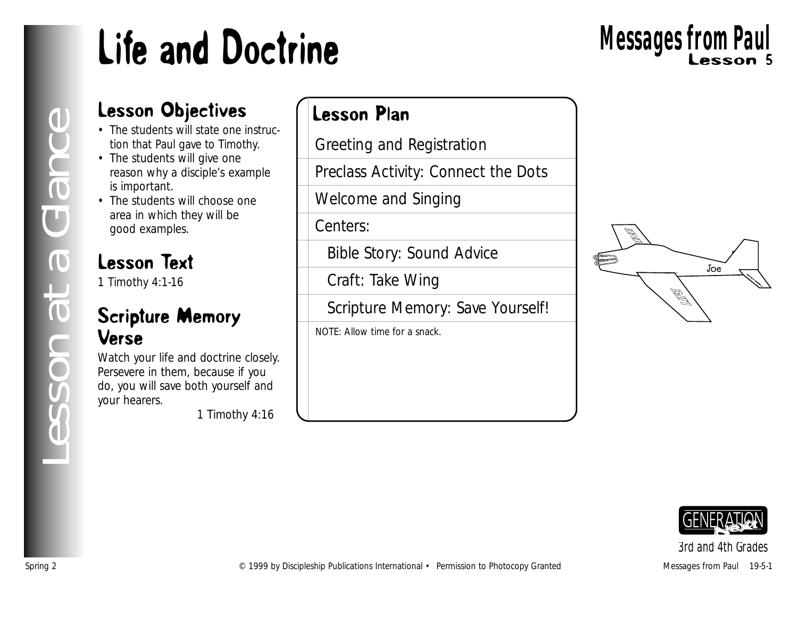## Life and Doctrine

# Lesson 5 **Messages from Paul**

## Lesson Objectives

- The students will state one instruction that Paul gave to Timothy.
- The students will give one reason why a disciple's example is important.
- The students will choose one area in which they will be good examples.

## Lesson Text

1 Timothy 4:1-16

## Scripture Memory Verse

Watch your life and doctrine closely. Persevere in them, because if you do, you will save both yourself and your hearers.

*1 Timothy 4:16*

## Lesson Plan

Greeting and Registration

Preclass Activity: Connect the Dots

Welcome and Singing

Centers:

Bible Story: Sound Advice

Craft: Take Wing

Scripture Memory: Save Yourself!

NOTE: Allow time for a snack.





*3rd and 4th Grades*

*Lesson at a Glance*

**Esson at a Glance**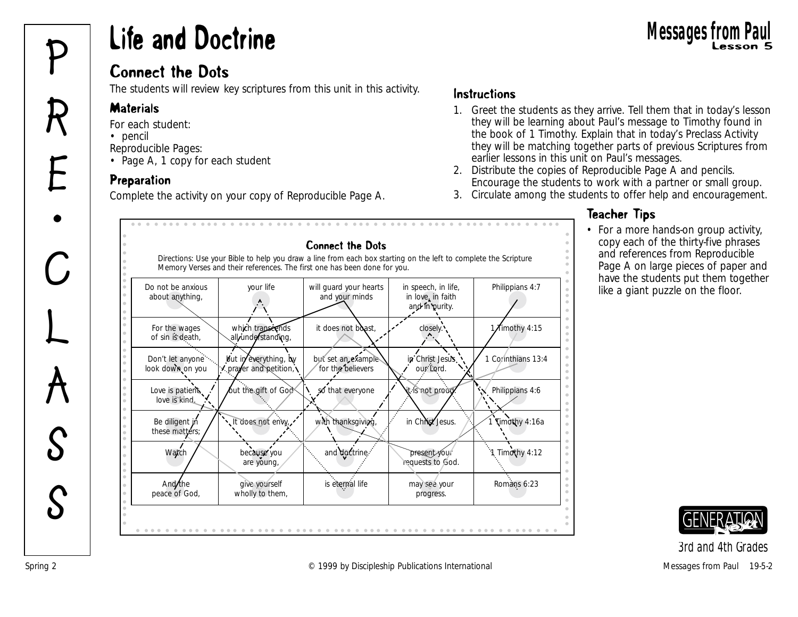## Life and Doctrine **Life and Doctrine P** Life and Doctrine **P** Intervalse from Paul Connect the Dots

## Connect the Dots

The students will review key scriptures from this unit in this activity.

### **Materials**

*For each student:*

• pencil

**R**

**E**

**•**

**C**

**L**

**A**

**S**

**S**

*Reproducible Pages:*

• Page A, 1 copy for each student

Do not be anxious about anything,

For the wages of sin is death,

Don't let anyone look down on you

Love is patient, love is kind.

Be diligent in these matters;

Watch

And the peace of God,

## Preparation

••••••••••• ••••••••••••••••••••••••••••

Complete the activity on your copy of Reproducible Page A.

Memory Verses and their references. The first one has been done for you.

your life

which transcends all/understanding,

but in everything, by **A** prayer and petition,

but the gift of God

It does not envy,

because you are young,

give yourself wholly to them,

## Instructions

- 1. Greet the students as they arrive. Tell them that in today's lesson they will be learning about Paul's message to Timothy found in the book of 1 Timothy. Explain that in today's Preclass Activity they will be matching together parts of previous Scriptures from earlier lessons in this unit on Paul's messages.
- 2. Distribute the copies of Reproducible Page A and pencils. Encourage the students to work with a partner or small group.
- 3. Circulate among the students to offer help and encouragement.

•••••••••••••••••••••••••••••••••••••••

Philippians 4:7

1 $\n *1*$ imothy 4:15

1 Corinthians 13:4

Philippians 4:6

Timothy 4:16a

1 Timothy 4:12

Romans 6:23

## Teacher Tips

• For a more hands-on group activity, copy each of the thirty-five phrases and references from Reproducible Page A on large pieces of paper and have the students put them together like a giant puzzle on the floor.



*3rd and 4th Grades*

Directions: Use your Bible to help you draw a line from each box starting on the left to complete the Scripture

will guard your hearts and your minds

in speech, in life, in love, in faith and in purity.

closely.

in Christ Jesus our Lord.

it is not proud.

in Christ Jesus.

present your requests to God.

may see your progress.

it does not boast

but set an example for the believers

so that everyone

with thanksgiving

and doctrine

is eternal life

Connect the Dots

•••••••••••••••••• •••••••••••••••••••••••••••••••••••••••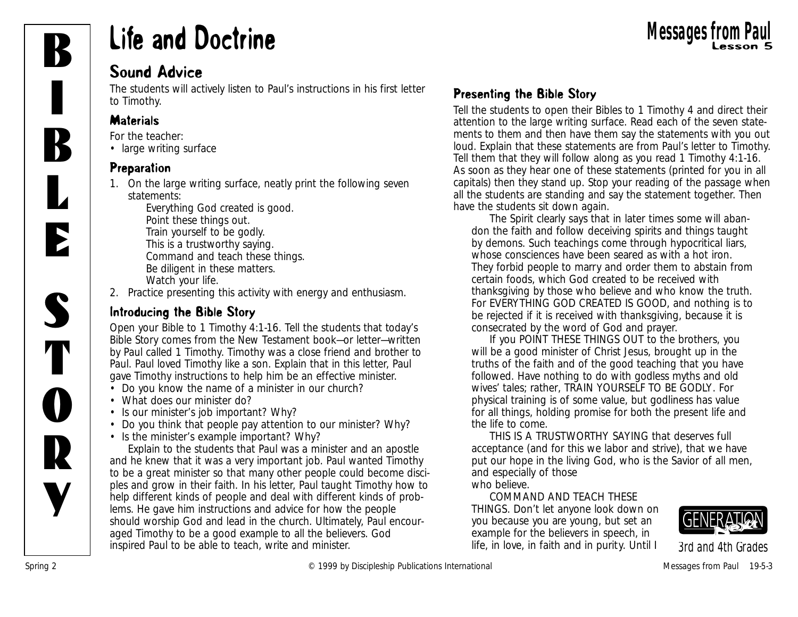

## Life and Doctrine **Life and Doctrine Messages from Paul Sound Advise**<br> **Messages from Paul Advise**

## Sound Advice

The students will actively listen to Paul's instructions in his first letter to Timothy.

### **Materials**

*For the teacher:*

• large writing surface

#### Preparation

1. On the large writing surface, neatly print the following seven statements:

Everything God created is good. Point these things out. Train yourself to be godly. This is a trustworthy saying. Command and teach these things. Be diligent in these matters. Watch your life.

2. Practice presenting this activity with energy and enthusiasm.

## Introducing the Bible Story

Open your Bible to 1 Timothy 4:1-16. Tell the students that today's Bible Story comes from the New Testament book—or letter—written by Paul called 1 Timothy. Timothy was a close friend and brother to Paul. Paul loved Timothy like a son. Explain that in this letter, Paul gave Timothy instructions to help him be an effective minister.

- *Do you know the name of a minister in our church?*
- *What does our minister do?*
- *Is our minister's job important? Why?*
- *Do you think that people pay attention to our minister? Why?*
- *Is the minister's example important? Why?*

Explain to the students that Paul was a minister and an apostle and he knew that it was a very important job. Paul wanted Timothy to be a great minister so that many other people could become disciples and grow in their faith. In his letter, Paul taught Timothy how to help different kinds of people and deal with different kinds of problems. He gave him instructions and advice for how the people should worship God and lead in the church. Ultimately, Paul encouraged Timothy to be a good example to all the believers. God inspired Paul to be able to teach, write and minister.

## Presenting the Bible Story

Tell the students to open their Bibles to 1 Timothy 4 and direct their attention to the large writing surface. Read each of the seven statements to them and then have them say the statements with you out loud. Explain that these statements are from Paul's letter to Timothy. Tell them that they will follow along as you read 1 Timothy 4:1-16. As soon as they hear one of these statements (printed for you in all capitals) then they stand up. Stop your reading of the passage when all the students are standing and say the statement together. Then have the students sit down again.

*The Spirit clearly says that in later times some will abandon the faith and follow deceiving spirits and things taught by demons. Such teachings come through hypocritical liars, whose consciences have been seared as with a hot iron. They forbid people to marry and order them to abstain from certain foods, which God created to be received with thanksgiving by those who believe and who know the truth. For EVERYTHING GOD CREATED IS GOOD, and nothing is to be rejected if it is received with thanksgiving, because it is consecrated by the word of God and prayer.*

*If you POINT THESE THINGS OUT to the brothers, you will be a good minister of Christ Jesus, brought up in the truths of the faith and of the good teaching that you have followed. Have nothing to do with godless myths and old wives' tales; rather, TRAIN YOURSELF TO BE GODLY. For physical training is of some value, but godliness has value for all things, holding promise for both the present life and the life to come.*

*THIS IS A TRUSTWORTHY SAYING that deserves full acceptance (and for this we labor and strive), that we have put our hope in the living God, who is the Savior of all men, and especially of those who believe.*

*COMMAND AND TEACH THESE THINGS. Don't let anyone look down on you because you are young, but set an example for the believers in speech, in life, in love, in faith and in purity. Until I*

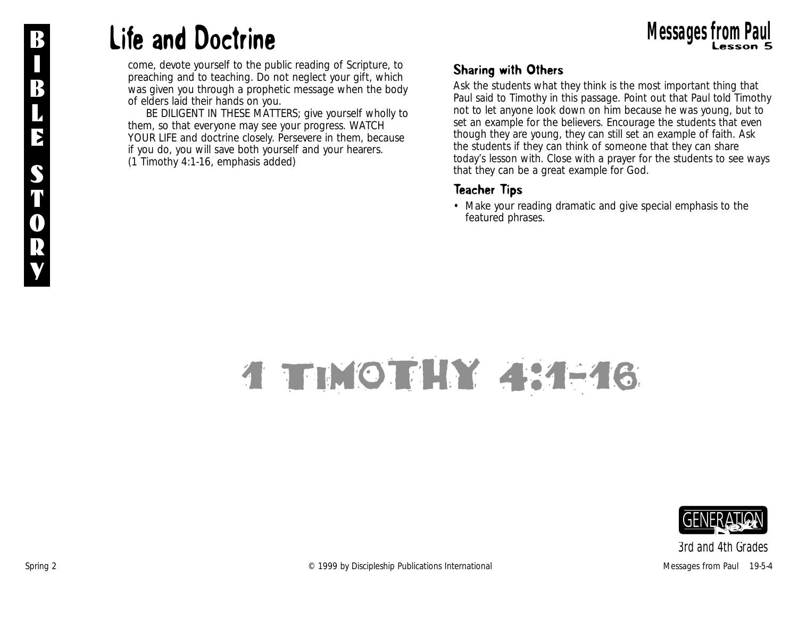## Life and Doctrine Lesson 5 B **Messages from Paul**

*come, devote yourself to the public reading of Scripture, to preaching and to teaching. Do not neglect your gift, which was given you through a prophetic message when the body of elders laid their hands on you.*

*BE DILIGENT IN THESE MATTERS; give yourself wholly to them, so that everyone may see your progress. WATCH YOUR LIFE and doctrine closely. Persevere in them, because if you do, you will save both yourself and your hearers. (1 Timothy 4:1-16, emphasis added)*

## Sharing with Others

Ask the students what they think is the most important thing that Paul said to Timothy in this passage. Point out that Paul told Timothy not to let anyone look down on him because he was young, but to set an example for the believers. Encourage the students that even though they are young, they can still set an example of faith. Ask the students if they can think of someone that they can share today's lesson with. Close with a prayer for the students to see ways that they can be a great example for God.

### Teacher Tips

• Make your reading dramatic and give special emphasis to the featured phrases.

## 1 Timothy 4:1-16

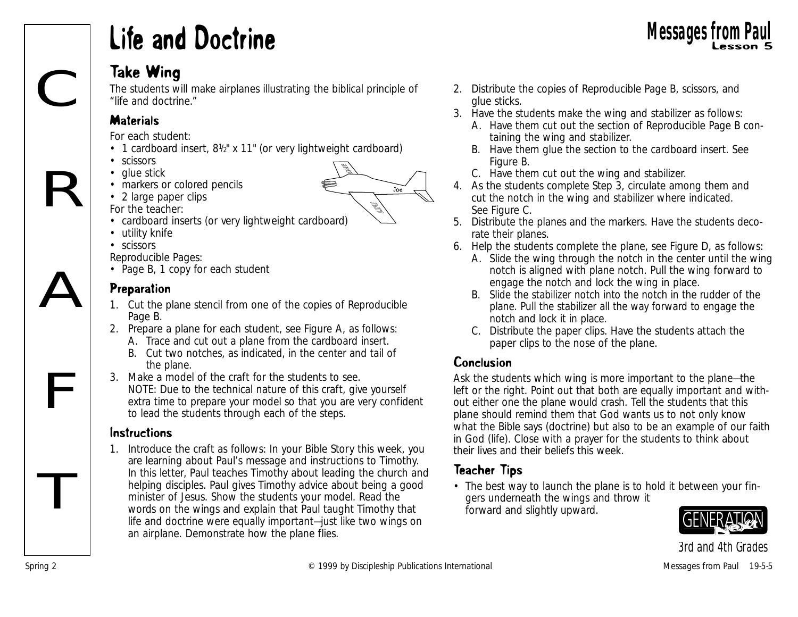## Life and Doctrine

## Take Wing

The students will make airplanes illustrating the biblical principle of "life and doctrine."

## **Materials**

*For each student:*

- 1 cardboard insert,  $8\frac{1}{2}$ " x 11" (or very lightweight cardboard)
- scissors
- glue stick
- markers or colored pencils
- 2 large paper clips
- *For the teacher:*
- cardboard inserts (or very lightweight cardboard)
- utility knife
- scissors
- *Reproducible Pages:*
- Page B, 1 copy for each student

### **Preparation**

- 1. Cut the plane stencil from one of the copies of Reproducible Page B.
- 2. Prepare a plane for each student, see Figure A, as follows:
	- A. Trace and cut out a plane from the cardboard insert.
	- B. Cut two notches, as indicated, in the center and tail of the plane.
- 3. Make a model of the craft for the students to see. NOTE: Due to the technical nature of this craft, give yourself extra time to prepare your model so that you are very confident to lead the students through each of the steps.

#### **Instructions**

1. Introduce the craft as follows: *In your Bible Story this week, you are learning about Paul's message and instructions to Timothy. In this letter, Paul teaches Timothy about leading the church and helping disciples. Paul gives Timothy advice about being a good minister of Jesus.* Show the students your model. Read the words on the wings and explain that Paul taught Timothy that life and doctrine were equally important—just like two wings on an airplane. Demonstrate how the plane flies.

- 2. Distribute the copies of Reproducible Page B, scissors, and glue sticks.
- 3. Have the students make the wing and stabilizer as follows:
	- A. Have them cut out the section of Reproducible Page B containing the wing and stabilizer.

**Messages f** 

- B. Have them glue the section to the cardboard insert. See Figure B.
- C. Have them cut out the wing and stabilizer.
- 4. As the students complete Step 3, circulate among them and cut the notch in the wing and stabilizer where indicated. See Figure C.
- 5. Distribute the planes and the markers. Have the students decorate their planes.
- 6. Help the students complete the plane, see Figure D, as follows:
	- A. Slide the wing through the notch in the center until the wing notch is aligned with plane notch. Pull the wing forward to engage the notch and lock the wing in place.
	- B. Slide the stabilizer notch into the notch in the rudder of the plane. Pull the stabilizer all the way forward to engage the notch and lock it in place.
	- C. Distribute the paper clips. Have the students attach the paper clips to the nose of the plane.

## Conclusion

Ask the students which wing is more important to the plane—the left or the right. Point out that both are equally important and without either one the plane would crash. Tell the students that this plane should remind them that God wants us to not only know what the Bible says (doctrine) but also to be an example of our faith in God (life). Close with a prayer for the students to think about their lives and their beliefs this week.

## Teacher Tips

• The best way to launch the plane is to hold it between your fingers underneath the wings and throw it forward and slightly upward.



*3rd and 4th Grades*







**F** 

T

C

R

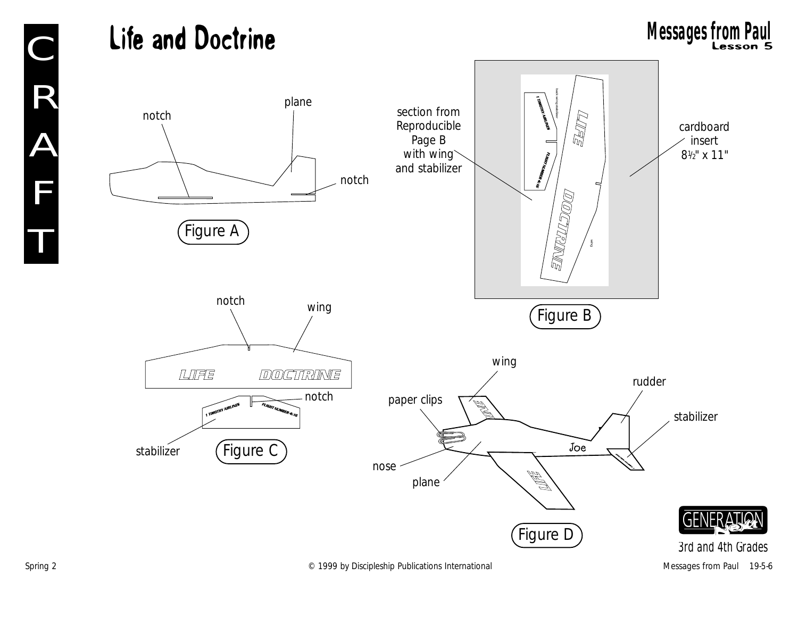## Life and Doctrine **Life and Doctrine**

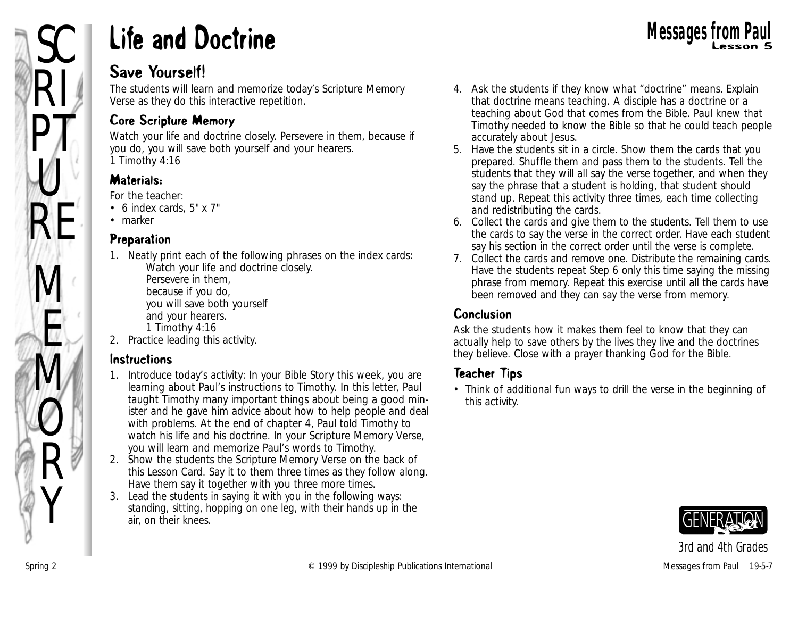## SC Life and Doctrine **Life and Doctrine**

## Save Yourself!

The students will learn and memorize today's Scripture Memory Verse as they do this interactive repetition.

## Core Scripture Memory

Watch your life and doctrine closely. Persevere in them, because if you do, you will save both yourself and your hearers. *1 Timothy 4:16*

## Materials:

*For the teacher:*

- 6 index cards, 5" x 7"
- marker

### Preparation

1. Neatly print each of the following phrases on the index cards: Watch your life and doctrine closely. Persevere in them,

because if you do,

- you will save both yourself
- and your hearers.
- 1 Timothy 4:16
- 2. Practice leading this activity.

## **Instructions**

- 1. Introduce today's activity: *In your Bible Story this week, you are learning about Paul's instructions to Timothy. In this letter, Paul taught Timothy many important things about being a good minister and he gave him advice about how to help people and deal with problems. At the end of chapter 4, Paul told Timothy to watch his life and his doctrine. In your Scripture Memory Verse, you will learn and memorize Paul's words to Timothy.*
- 2. Show the students the Scripture Memory Verse on the back of this Lesson Card. Say it to them three times as they follow along. Have them say it together with you three more times.
- 3. Lead the students in saying it with you in the following ways: standing, sitting, hopping on one leg, with their hands up in the air, on their knees.
- 4. Ask the students if they know what "doctrine" means. Explain that doctrine means teaching. A disciple has a doctrine or a teaching about God that comes from the Bible. Paul knew that Timothy needed to know the Bible so that he could teach people accurately about Jesus.
- 5. Have the students sit in a circle. Show them the cards that you prepared. Shuffle them and pass them to the students. Tell the students that they will all say the verse together, and when they say the phrase that a student is holding, that student should stand up. Repeat this activity three times, each time collecting and redistributing the cards.
- 6. Collect the cards and give them to the students. Tell them to use the cards to say the verse in the correct order. Have each student say his section in the correct order until the verse is complete.
- 7. Collect the cards and remove one. Distribute the remaining cards. Have the students repeat Step 6 only this time saying the missing phrase from memory. Repeat this exercise until all the cards have been removed and they can say the verse from memory.

## Conclusion

Ask the students how it makes them feel to know that they can actually help to save others by the lives they live and the doctrines they believe. Close with a prayer thanking God for the Bible.

## Teacher Tips

• Think of additional fun ways to drill the verse in the beginning of this activity.

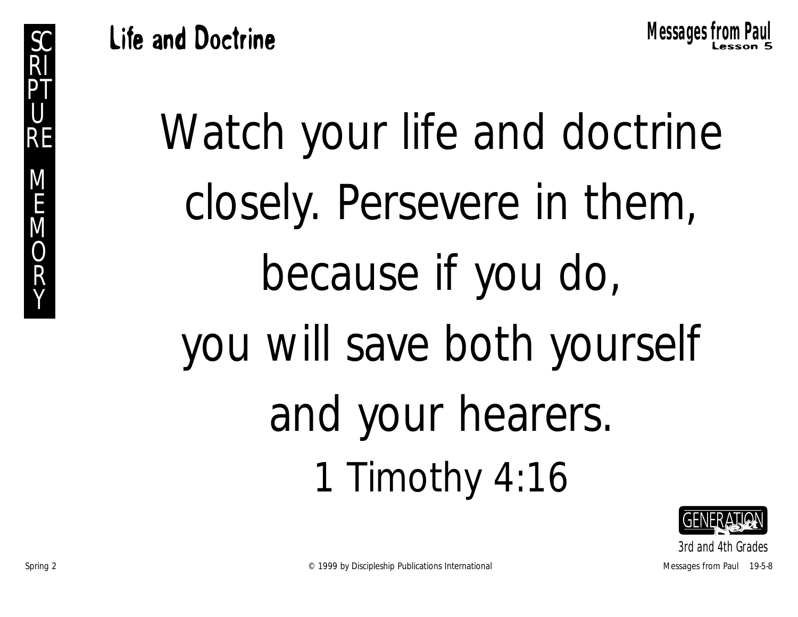SC Life and Doctrine **Life and Doctrine** 

Watch your life and doctrine closely. Persevere in them, because if you do, you will save both yourself and your hearers. 1 Timothy 4:16

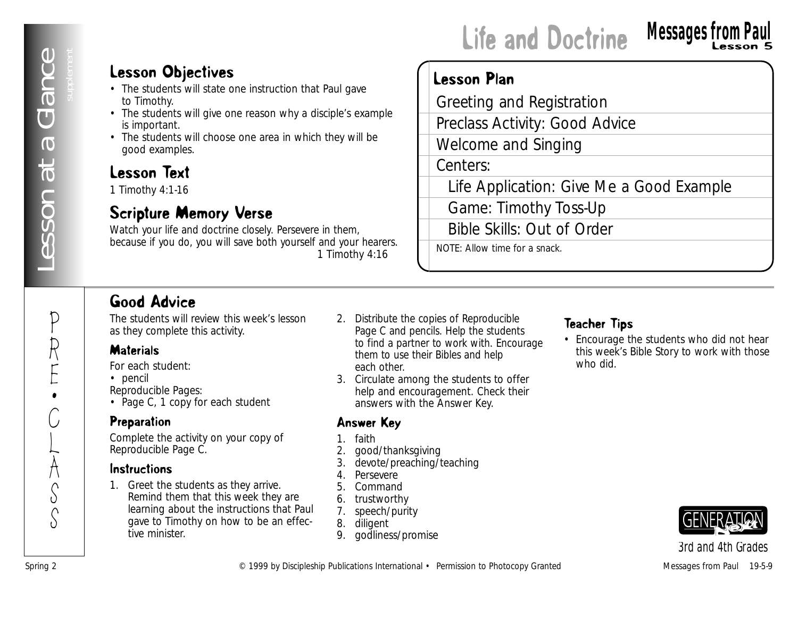P

R

E

•

C

L

 $\sum_{i=1}^{n}$ S

S

## Life and Doctrine **Messages from Paul**

## Lesson Objectives

- The students will state one instruction that Paul gave to Timothy.
- The students will give one reason why a disciple's example is important.
- The students will choose one area in which they will be good examples.

## Lesson Text

1 Timothy 4:1-16

## Scripture Memory Verse

Watch your life and doctrine closely. Persevere in them, because if you do, you will save both yourself and your hearers. *1 Timothy 4:16*

## Lesson Plan

Greeting and Registration Preclass Activity: Good Advice

Welcome and Singing

Centers:

Life Application: Give Me a Good Example

Game: Timothy Toss-Up

Bible Skills: Out of Order

NOTE: Allow time for a snack.

## Good Advice

The students will review this week's lesson as they complete this activity.

### **Materials**

*For each student:*

• pencil

*Reproducible Pages:*

• Page C, 1 copy for each student

### Preparation

Complete the activity on your copy of Reproducible Page C.

#### **Instructions**

- 1. Greet the students as they arrive. Remind them that this week they are learning about the instructions that Paul gave to Timothy on how to be an effective minister.
- **Lesson Objectives**<br> **Examplementary** and examplementary and the contrast of the properties of the contrast of the supplementary of the supplementary of the control of the supplementary of the control of the supplementary 2. Distribute the copies of Reproducible Page C and pencils. Help the students to find a partner to work with. Encourage them to use their Bibles and help each other.
	- 3. Circulate among the students to offer help and encouragement. Check their answers with the Answer Key.

## Answer Key

- 1. faith
- 2. good/thanksgiving
- devote/preaching/teaching
- 4. Persevere
- 5. Command
- 6. trustworthy
- 7. speech/purity
- 8. diligent
- 9. godliness/promise

## Teacher Tips

• Encourage the students who did not hear this week's Bible Story to work with those who did.

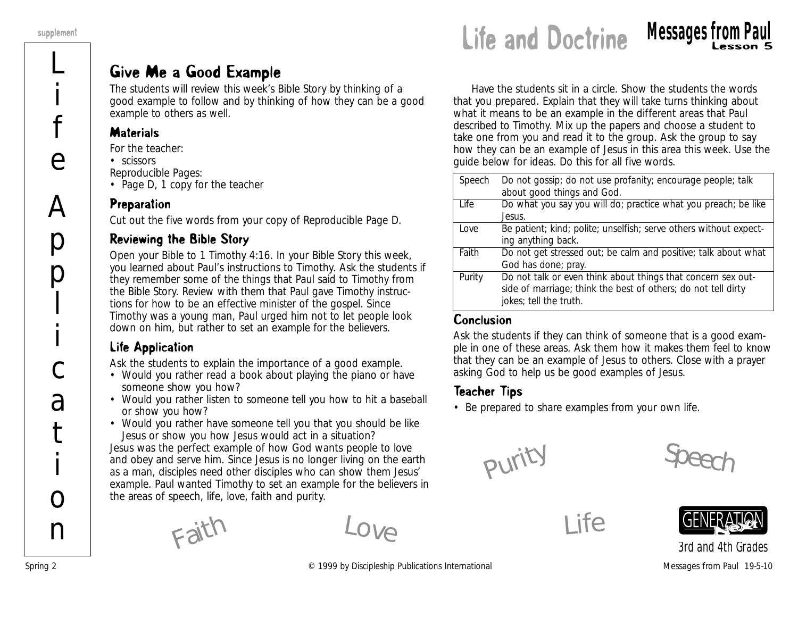L

i

f

e

A

p

p

l

i

c

a

t

i

 $\Omega$ 

## Give Me a Good Example

The students will review this week's Bible Story by thinking of a good example to follow and by thinking of how they can be a good example to others as well.

#### **Materials**

- *For the teacher:*
- scissors

*Reproducible Pages:*

• Page D, 1 copy for the teacher

#### Preparation

Cut out the five words from your copy of Reproducible Page D.

### Reviewing the Bible Story

Open your Bible to 1 Timothy 4:16. *In your Bible Story this week, you learned about Paul's instructions to Timothy.* Ask the students if they remember some of the things that Paul said to Timothy from the Bible Story. Review with them that Paul gave Timothy instructions for how to be an effective minister of the gospel. Since Timothy was a young man, Paul urged him not to let people look down on him, but rather to set an example for the believers.

## Life Application

Ask the students to explain the importance of a good example.

- *Would you rather read a book about playing the piano or have someone show you how?*
- *Would you rather listen to someone tell you how to hit a baseball or show you how?*

• *Would you rather have someone tell you that you should be like Jesus or show you how Jesus would act in a situation? Jesus was the perfect example of how God wants people to love and obey and serve him. Since Jesus is no longer living on the earth as a man, disciples need other disciples who can show them Jesus' example. Paul wanted Timothy to set an example for the believers in the areas of speech, life, love, faith and purity.*



Love

Have the students sit in a circle. Show the students the words that you prepared. Explain that they will take turns thinking about what it means to be an example in the different areas that Paul described to Timothy. Mix up the papers and choose a student to take one from you and read it to the group. Ask the group to say how they can be an example of Jesus in this area this week. Use the guide below for ideas. Do this for all five words.

| Speech | Do not gossip; do not use profanity; encourage people; talk<br>about good things and God.                                                               |
|--------|---------------------------------------------------------------------------------------------------------------------------------------------------------|
| Life   | Do what you say you will do; practice what you preach; be like<br>Jesus.                                                                                |
| Love   | Be patient; kind; polite; unselfish; serve others without expect-<br>ing anything back.                                                                 |
| Faith  | Do not get stressed out; be calm and positive; talk about what<br>God has done; pray.                                                                   |
| Purity | Do not talk or even think about things that concern sex out-<br>side of marriage; think the best of others; do not tell dirty<br>jokes; tell the truth. |

#### Conclusion

Ask the students if they can think of someone that is a good example in one of these areas. Ask them how it makes them feel to know that they can be an example of Jesus to others. Close with a prayer asking God to help us be good examples of Jesus.

## Teacher Tips

• Be prepared to share examples from your own life.

Life

Purity

Speech



*3rd and 4th Grades*

Spring 2 **Example 2** C 1999 by Discipleship Publications International Messages from Paul 19-5-10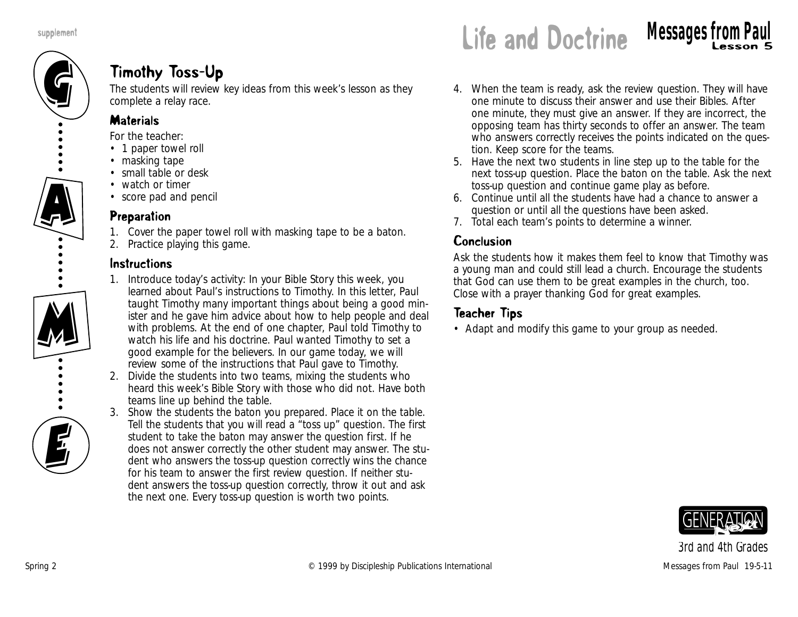

## Timothy Toss-Up

The students will review key ideas from this week's lesson as they complete a relay race.

#### **Materials**

*For the teacher:*

- 1 paper towel roll
- masking tape
- small table or desk
- watch or timer
- score pad and pencil

#### Preparation

- 1. Cover the paper towel roll with masking tape to be a baton.
- 2. Practice playing this game.

#### **Instructions**

- 1. Introduce today's activity: *In your Bible Story this week, you learned about Paul's instructions to Timothy. In this letter, Paul taught Timothy many important things about being a good minister and he gave him advice about how to help people and deal with problems. At the end of one chapter, Paul told Timothy to watch his life and his doctrine. Paul wanted Timothy to set a good example for the believers. In our game today, we will review some of the instructions that Paul gave to Timothy.*
- 2. Divide the students into two teams, mixing the students who heard this week's Bible Story with those who did not. Have both teams line up behind the table.
- 3. Show the students the baton you prepared. Place it on the table. Tell the students that you will read a "toss up" question. The first student to take the baton may answer the question first. If he does not answer correctly the other student may answer. The student who answers the toss-up question correctly wins the chance for his team to answer the first review question. If neither student answers the toss-up question correctly, throw it out and ask the next one. Every toss-up question is worth two points.
- 4. When the team is ready, ask the review question. They will have one minute to discuss their answer and use their Bibles. After one minute, they must give an answer. If they are incorrect, the opposing team has thirty seconds to offer an answer. The team who answers correctly receives the points indicated on the question. Keep score for the teams.
- 5. Have the next two students in line step up to the table for the next toss-up question. Place the baton on the table. Ask the next toss-up question and continue game play as before.
- 6. Continue until all the students have had a chance to answer a question or until all the questions have been asked.
- 7. Total each team's points to determine a winner.

## Conclusion

Ask the students how it makes them feel to know that Timothy was a young man and could still lead a church. Encourage the students that God can use them to be great examples in the church, too. Close with a prayer thanking God for great examples.

## Teacher Tips

• Adapt and modify this game to your group as needed.

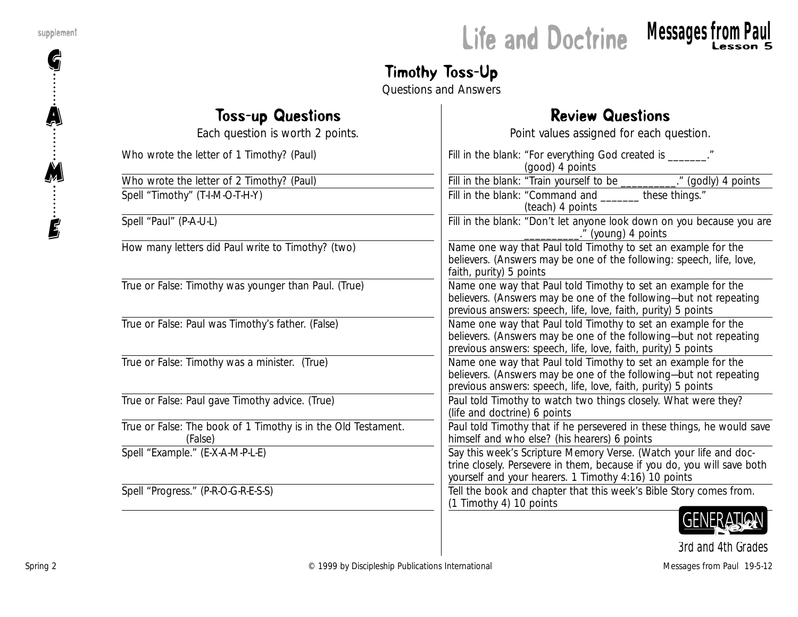G

A

M

j<br>E



Fill in the blank: "For everything God created is \_\_\_\_\_\_\_\_."

## Timothy Toss-Up

Questions and Answers

## Toss-up Questions

Each question is worth 2 points.

Who wrote the letter of 1 Timothy? (Paul)

|                                                                          | (good) 4 points                                                                                                                                                                                      |  |  |  |
|--------------------------------------------------------------------------|------------------------------------------------------------------------------------------------------------------------------------------------------------------------------------------------------|--|--|--|
| Who wrote the letter of 2 Timothy? (Paul)                                | Fill in the blank: "Train yourself to be __________." (godly) 4 points                                                                                                                               |  |  |  |
| Spell "Timothy" (T-I-M-O-T-H-Y)                                          | Fill in the blank: "Command and ______<br>these things."<br>(teach) 4 points                                                                                                                         |  |  |  |
| Spell "Paul" (P-A-U-L)                                                   | Fill in the blank: "Don't let anyone look down on you because you are<br>young) 4 points                                                                                                             |  |  |  |
| How many letters did Paul write to Timothy? (two)                        | Name one way that Paul told Timothy to set an example for the<br>believers. (Answers may be one of the following: speech, life, love,<br>faith, purity) 5 points                                     |  |  |  |
| True or False: Timothy was younger than Paul. (True)                     | Name one way that Paul told Timothy to set an example for the<br>believers. (Answers may be one of the following-but not repeating<br>previous answers: speech, life, love, faith, purity) 5 points  |  |  |  |
| True or False: Paul was Timothy's father. (False)                        | Name one way that Paul told Timothy to set an example for the<br>believers. (Answers may be one of the following-but not repeating<br>previous answers: speech, life, love, faith, purity) 5 points  |  |  |  |
| True or False: Timothy was a minister. (True)                            | Name one way that Paul told Timothy to set an example for the<br>believers. (Answers may be one of the following-but not repeating<br>previous answers: speech, life, love, faith, purity) 5 points  |  |  |  |
| True or False: Paul gave Timothy advice. (True)                          | Paul told Timothy to watch two things closely. What were they?<br>(life and doctrine) 6 points                                                                                                       |  |  |  |
| True or False: The book of 1 Timothy is in the Old Testament.<br>(False) | Paul told Timothy that if he persevered in these things, he would save<br>himself and who else? (his hearers) 6 points                                                                               |  |  |  |
| Spell "Example." (E-X-A-M-P-L-E)                                         | Say this week's Scripture Memory Verse. (Watch your life and doc-<br>trine closely. Persevere in them, because if you do, you will save both<br>yourself and your hearers. 1 Timothy 4:16) 10 points |  |  |  |
| Spell "Progress." (P-R-O-G-R-E-S-S)                                      | Tell the book and chapter that this week's Bible Story comes from.<br>(1 Timothy 4) 10 points                                                                                                        |  |  |  |
|                                                                          |                                                                                                                                                                                                      |  |  |  |

### Review Questions Point values assigned for each question.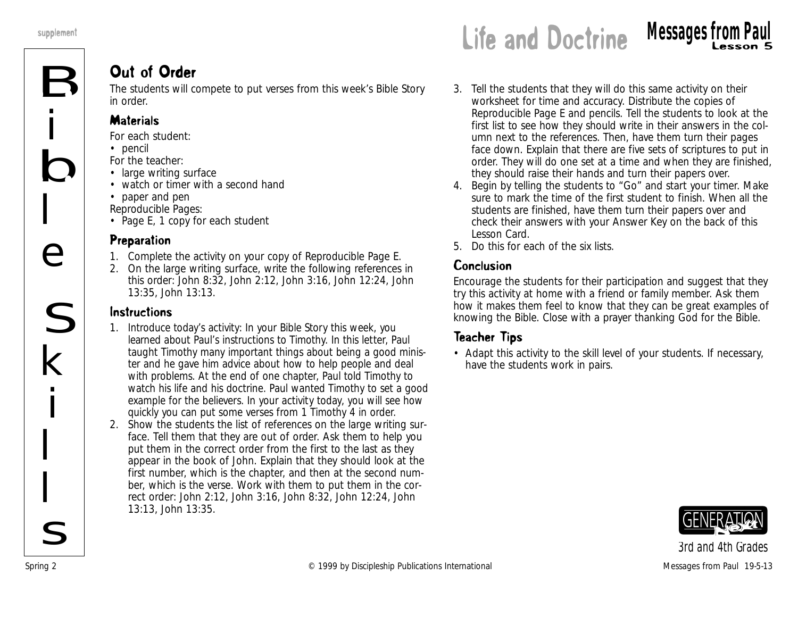supplement<br>
B

i

 $\frac{1}{\mathsf{B}}$ 

 $\overline{L}$ 

e

S

k

i

 $\overline{L}$ 

 $\overline{L}$ 

 $\boldsymbol{\zeta}$ 

## supplement<br> **Life and Doctrine Messages from Paul**

## Out of Order

The students will compete to put verses from this week's Bible Story in order.

## **Materials**

*For each student:*

- pencil
- *For the teacher:*
- large writing surface
- watch or timer with a second hand
- paper and pen

*Reproducible Pages:*

• Page E, 1 copy for each student

## Preparation

- 1. Complete the activity on your copy of Reproducible Page E.
- 2. On the large writing surface, write the following references in this order: John 8:32, John 2:12, John 3:16, John 12:24, John 13:35, John 13:13.

## **Instructions**

- 1. Introduce today's activity: *In your Bible Story this week, you learned about Paul's instructions to Timothy. In this letter, Paul taught Timothy many important things about being a good minister and he gave him advice about how to help people and deal with problems. At the end of one chapter, Paul told Timothy to watch his life and his doctrine. Paul wanted Timothy to set a good example for the believers. In your activity today, you will see how quickly you can put some verses from 1 Timothy 4 in order.*
- 2. Show the students the list of references on the large writing surface. Tell them that they are out of order. Ask them to help you put them in the correct order from the first to the last as they appear in the book of John. Explain that they should look at the first number, which is the chapter, and then at the second number, which is the verse. Work with them to put them in the correct order: John 2:12, John 3:16, John 8:32, John 12:24, John 13:13, John 13:35.
- 3. Tell the students that they will do this same activity on their worksheet for time and accuracy. Distribute the copies of Reproducible Page E and pencils. Tell the students to look at the first list to see how they should write in their answers in the column next to the references. Then, have them turn their pages face down. Explain that there are five sets of scriptures to put in order. They will do one set at a time and when they are finished, they should raise their hands and turn their papers over.
- 4. Begin by telling the students to "Go" and start your timer. Make sure to mark the time of the first student to finish. When all the students are finished, have them turn their papers over and check their answers with your Answer Key on the back of this Lesson Card.
- 5. Do this for each of the six lists.

## Conclusion

Encourage the students for their participation and suggest that they try this activity at home with a friend or family member. Ask them how it makes them feel to know that they can be great examples of knowing the Bible. Close with a prayer thanking God for the Bible.

## Teacher Tips

• Adapt this activity to the skill level of your students. If necessary, have the students work in pairs.

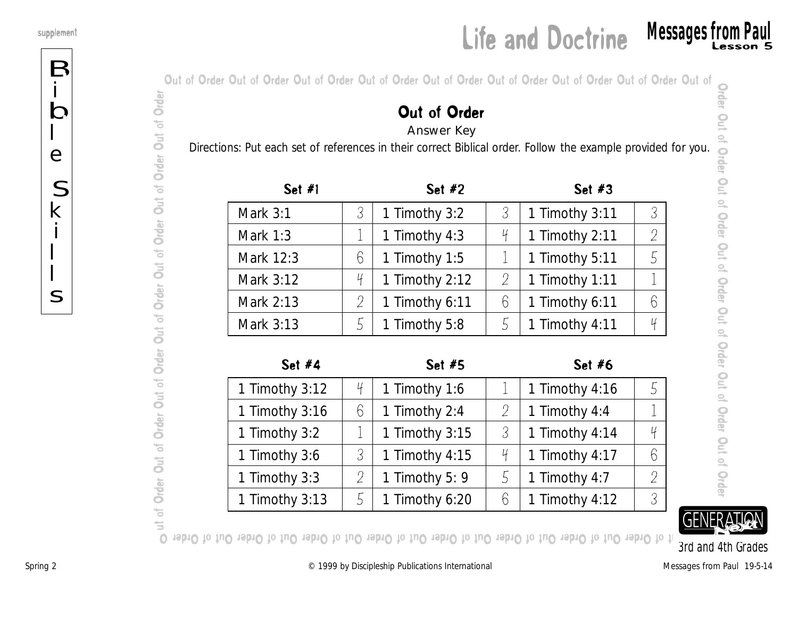ut of Order Out of Order Out of Order Out of Order Out of Order Out of Order Out of Order

Order Out of Order Out of Order Out of Order Out of Order Out of

 $\overleftarrow{\circ}$  $\overline{\mathbb{S}}$ 

Out

Order (

Out of Order Out of Order Out of Order Out of Order Out of Order Out of Order Out of Order Out of Order Out of Order Out of Order Out of Order Out of Order Out of Order Out of Order Out of Order Country Country Country Cou

## Out of Order

Answer Key

Directions: Put each set of references in their correct Biblical order. Follow the example provided for you.

| Set $#1$  |   | Set #2         |   | Set #3         |  |
|-----------|---|----------------|---|----------------|--|
| Mark 3:1  |   | 1 Timothy 3:2  |   | 1 Timothy 3:11 |  |
| Mark 1:3  |   | 1 Timothy 4:3  | 4 | 1 Timothy 2:11 |  |
| Mark 12:3 |   | 1 Timothy 1:5  |   | 1 Timothy 5:11 |  |
| Mark 3:12 | 4 | 1 Timothy 2:12 | 2 | 1 Timothy 1:11 |  |
| Mark 2:13 |   | 1 Timothy 6:11 | 6 | 1 Timothy 6:11 |  |
| Mark 3:13 |   | 1 Timothy 5:8  |   | 1 Timothy 4:11 |  |

| Set #5 | Set #6                                                                                                 |    |
|--------|--------------------------------------------------------------------------------------------------------|----|
|        | 1 Timothy 4:16                                                                                         |    |
| 2      | 1 Timothy 4:4                                                                                          |    |
|        | 1 Timothy $4:14$                                                                                       |    |
| 4      | 1 Timothy 4:17                                                                                         | ĥ  |
|        | 1 Timothy 4:7                                                                                          | -9 |
| 6      | 1 Timothy 4:12                                                                                         | 3  |
|        | 1 Timothy 1:6<br>1 Timothy 2:4<br>1 Timothy 3:15<br>1 Timothy 4:15<br>1 Timothy 5: 9<br>1 Timothy 6:20 |    |

of Order Out of Order Out of Order Out of Order Out of Order Out of Order

Order Out



O tebtO to tuO tebtO to tuO tebtO to tuO tebtO to tuO tebtO to tuO tebtO to tuO tebtO to tuO tebtO to the second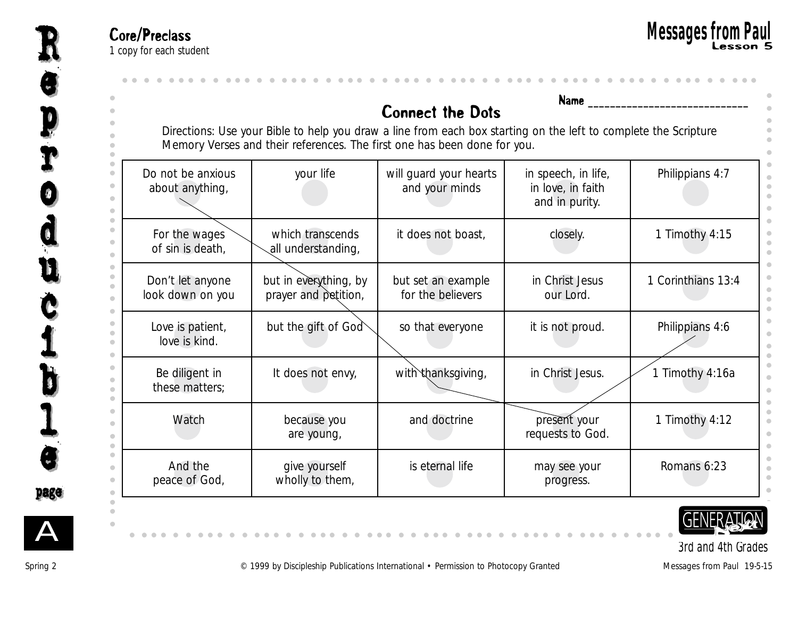**Core/Preclass**<br>1 copy for each student



|                                      | Directions: Use your Bible to help you draw a line from each box starting on the left to complete the Scripture<br>Memory Verses and their references. The first one has been done for you. | <b>Connect the Dots</b>                  | Name _____                                                 |                    |
|--------------------------------------|---------------------------------------------------------------------------------------------------------------------------------------------------------------------------------------------|------------------------------------------|------------------------------------------------------------|--------------------|
| Do not be anxious<br>about anything, | your life                                                                                                                                                                                   | will quard your hearts<br>and your minds | in speech, in life,<br>in love, in faith<br>and in purity. | Philippians 4:7    |
| For the wages<br>of sin is death,    | which transcends<br>all understanding,                                                                                                                                                      | it does not boast,                       | closely.                                                   | 1 Timothy 4:15     |
| Don't let anyone<br>look down on you | but in everything, by<br>prayer and petition,                                                                                                                                               | but set an example<br>for the believers  | in Christ Jesus<br>our Lord.                               | 1 Corinthians 13:4 |
| Love is patient,<br>love is kind.    | but the gift of God                                                                                                                                                                         | so that everyone                         | it is not proud.                                           | Philippians 4:6    |
| Be diligent in<br>these matters;     | It does not envy,                                                                                                                                                                           | with thanksgiving,                       | in Christ Jesus.                                           | 1 Timothy 4:16a    |
| Watch                                | because you<br>are young,                                                                                                                                                                   | and doctrine                             | present your<br>requests to God.                           | 1 Timothy 4:12     |
| And the<br>peace of God,             | give yourself<br>wholly to them,                                                                                                                                                            | is eternal life                          | may see your<br>progress.                                  | Romans 6:23        |



*3rd and 4th Grades*

•

Spring 2 **Example 2** C 1999 by Discipleship Publications International • Permission to Photocopy Granted Messages from Paul 19-5-15

••••••••••••••••••••••••••••••••••••••••••••••••••••••••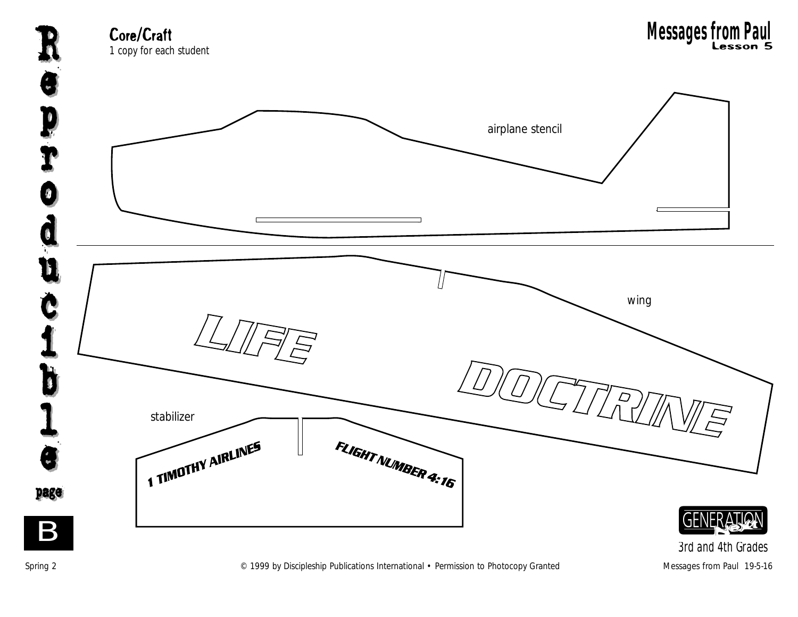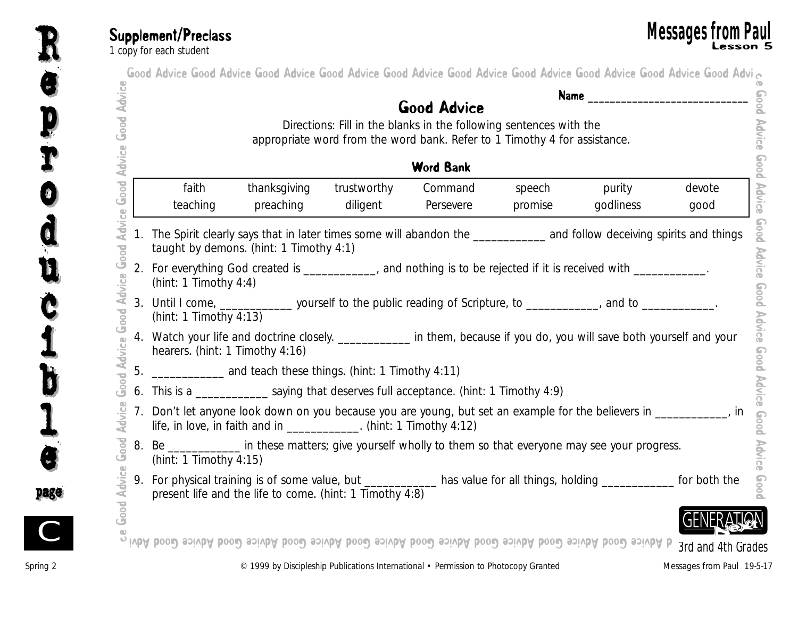|    |                                                                                                                                                                                                                                                                                                                                                                                                                                                                                                                          | Directions: Fill in the blanks in the following sentences with the<br>appropriate word from the word bank. Refer to 1 Timothy 4 for assistance. |                      |                   |                     |                                                                                                                  |
|----|--------------------------------------------------------------------------------------------------------------------------------------------------------------------------------------------------------------------------------------------------------------------------------------------------------------------------------------------------------------------------------------------------------------------------------------------------------------------------------------------------------------------------|-------------------------------------------------------------------------------------------------------------------------------------------------|----------------------|-------------------|---------------------|------------------------------------------------------------------------------------------------------------------|
|    |                                                                                                                                                                                                                                                                                                                                                                                                                                                                                                                          |                                                                                                                                                 | <b>Word Bank</b>     |                   |                     |                                                                                                                  |
|    | faith<br>thanksgiving<br>preaching<br>teaching                                                                                                                                                                                                                                                                                                                                                                                                                                                                           | trustworthy<br>diligent                                                                                                                         | Command<br>Persevere | speech<br>promise | purity<br>godliness | devote<br>good                                                                                                   |
|    | The Spirit clearly says that in later times some will abandon the ____________ and follow deceiving spirits and things<br>taught by demons. (hint: 1 Timothy 4:1)                                                                                                                                                                                                                                                                                                                                                        |                                                                                                                                                 |                      |                   |                     |                                                                                                                  |
|    | For everything God created is __________, and nothing is to be rejected if it is received with __________.<br>(hint: 1 Timothy $4:4$ )                                                                                                                                                                                                                                                                                                                                                                                   |                                                                                                                                                 |                      |                   |                     |                                                                                                                  |
|    | 3. Until I come, _______________ yourself to the public reading of Scripture, to ___________, and to ___________.<br>(hint: 1 Timothy $4:13$ )                                                                                                                                                                                                                                                                                                                                                                           |                                                                                                                                                 |                      |                   |                     |                                                                                                                  |
|    | Watch your life and doctrine closely. ____________ in them, because if you do, you will save both yourself and your<br>hearers. (hint: 1 Timothy 4:16)                                                                                                                                                                                                                                                                                                                                                                   |                                                                                                                                                 |                      |                   |                     |                                                                                                                  |
| 5. | and teach these things. (hint: 1 Timothy 4:11)                                                                                                                                                                                                                                                                                                                                                                                                                                                                           |                                                                                                                                                 |                      |                   |                     |                                                                                                                  |
|    | 6. This is a ______________ saying that deserves full acceptance. (hint: 1 Timothy 4:9)                                                                                                                                                                                                                                                                                                                                                                                                                                  |                                                                                                                                                 |                      |                   |                     |                                                                                                                  |
| 7. | Don't let anyone look down on you because you are young, but set an example for the believers in __________, in<br>life, in love, in faith and in $\frac{1}{\sqrt{1-\frac{1}{\sqrt{1-\frac{1}{\sqrt{1-\frac{1}{\sqrt{1-\frac{1}{\sqrt{1-\frac{1}{\sqrt{1-\frac{1}{\sqrt{1-\frac{1}{\sqrt{1-\frac{1}{\sqrt{1-\frac{1}{\sqrt{1-\frac{1}{\sqrt{1-\frac{1}{\sqrt{1-\frac{1}{\sqrt{1-\frac{1}{\sqrt{1-\frac{1}{\sqrt{1-\frac{1}{\sqrt{1-\frac{1}{\sqrt{1-\frac{1}{\sqrt{1-\frac{1}{\sqrt{1-\frac{1}{\sqrt{1-\frac{1}{\sqrt{1$ |                                                                                                                                                 |                      |                   |                     |                                                                                                                  |
|    | Be _____________ in these matters; give yourself wholly to them so that everyone may see your progress.                                                                                                                                                                                                                                                                                                                                                                                                                  |                                                                                                                                                 |                      |                   |                     |                                                                                                                  |
| 8. | (hint: 1 Timothy $4:15$ )                                                                                                                                                                                                                                                                                                                                                                                                                                                                                                |                                                                                                                                                 |                      |                   |                     | For physical training is of some value, but ___________ has value for all things, holding _________ for both the |

e e

R

p p

r r

o o

d

d

u

u

c

Č

i

i

b b

l l

e e

page page

C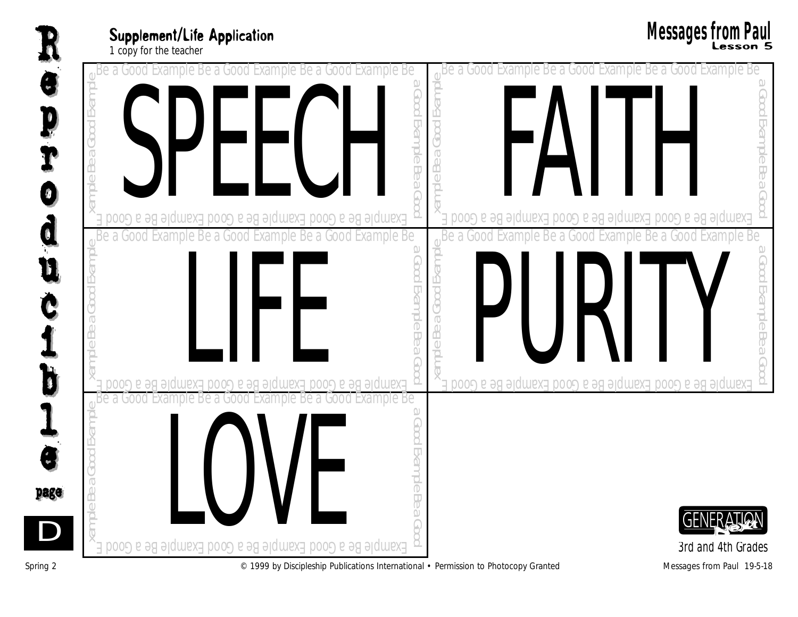Supplement/Life Application (1999) Supplement/Life Application (1999) Supplement/Life Application (1999) Supplement<br>The teacher Lesson 5

| <b>Messages from Paul</b> | Lesson 5 |
|---------------------------|----------|
|                           |          |



e

e

R

p

p

r

r

o o

d d

u

u

c

Č

i

i

b

b

 $\mathbf I$ 

l

e

e

page page

D